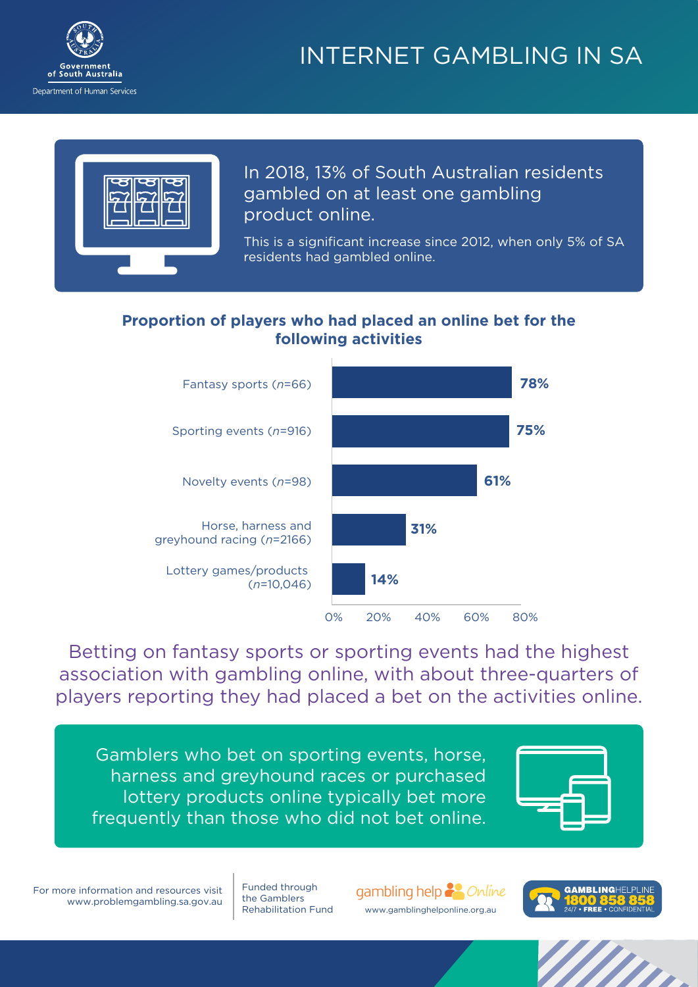

# INTERNET GAMBLING IN SA



In 2018, 13% of South Australian residents gambled on at least one gambling **online** (13% of ALL SA residents)

This is a significant increase since 2012, when only 5% of SA residents had gambled online.

## **Proportion of players who had placed an online bet for the following activities**



Betting on fantasy sports or sporting events had the highest association with gambling online, with about three-quarters of players reporting they had placed a bet on the activities online.

Gamblers who bet on sporting events, horse, harness and greyhound races or purchased lottery products online typically bet more frequently than those who did not bet online.



For more information and resources visit www.problemgambling.sa.gov.au

Funded through the Gamblers<br>Rehabilitation Fund gambling help 22 Online www.gamblinghelponline.org.au.